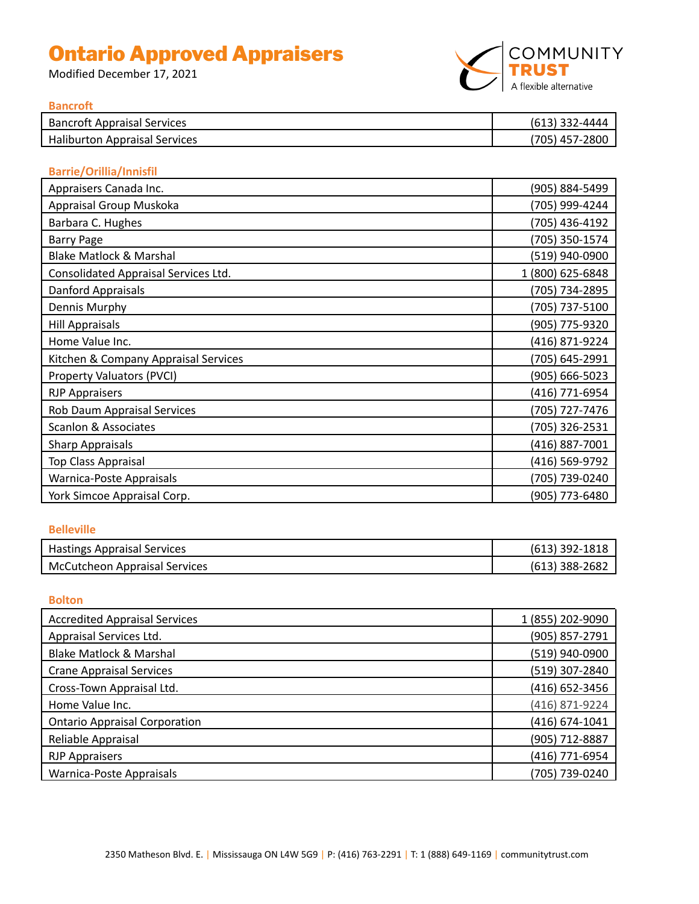# Ontario Approved Appraisers

Modified December 17, 2021



#### **Bancroft**

| <b>Bancroft Appraisal Services</b>   | $(613)$ 332-4444 |
|--------------------------------------|------------------|
| <b>Haliburton Appraisal Services</b> | (705) 457-2800   |
|                                      |                  |

# **Barrie/Orillia/Innisfil**

| Appraisers Canada Inc.               | (905) 884-5499   |
|--------------------------------------|------------------|
| Appraisal Group Muskoka              | (705) 999-4244   |
| Barbara C. Hughes                    | (705) 436-4192   |
| <b>Barry Page</b>                    | (705) 350-1574   |
| <b>Blake Matlock &amp; Marshal</b>   | (519) 940-0900   |
| Consolidated Appraisal Services Ltd. | 1 (800) 625-6848 |
| Danford Appraisals                   | (705) 734-2895   |
| Dennis Murphy                        | (705) 737-5100   |
| <b>Hill Appraisals</b>               | (905) 775-9320   |
| Home Value Inc.                      | (416) 871-9224   |
| Kitchen & Company Appraisal Services | (705) 645-2991   |
| Property Valuators (PVCI)            | (905) 666-5023   |
| <b>RJP Appraisers</b>                | (416) 771-6954   |
| Rob Daum Appraisal Services          | (705) 727-7476   |
| <b>Scanlon &amp; Associates</b>      | (705) 326-2531   |
| <b>Sharp Appraisals</b>              | (416) 887-7001   |
| Top Class Appraisal                  | (416) 569-9792   |
| Warnica-Poste Appraisals             | (705) 739-0240   |
| York Simcoe Appraisal Corp.          | (905) 773-6480   |

#### **Belleville**

| <b>Hastings Appraisal Services</b> | $(613)$ 392-1818 |
|------------------------------------|------------------|
| McCutcheon Appraisal Services      | $(613)$ 388-2682 |

#### **Bolton**

| <b>Accredited Appraisal Services</b> | 1 (855) 202-9090 |
|--------------------------------------|------------------|
| Appraisal Services Ltd.              | (905) 857-2791   |
| <b>Blake Matlock &amp; Marshal</b>   | (519) 940-0900   |
| <b>Crane Appraisal Services</b>      | (519) 307-2840   |
| Cross-Town Appraisal Ltd.            | (416) 652-3456   |
| Home Value Inc.                      | (416) 871-9224   |
| <b>Ontario Appraisal Corporation</b> | (416) 674-1041   |
| Reliable Appraisal                   | (905) 712-8887   |
| <b>RJP Appraisers</b>                | (416) 771-6954   |
| Warnica-Poste Appraisals             | (705) 739-0240   |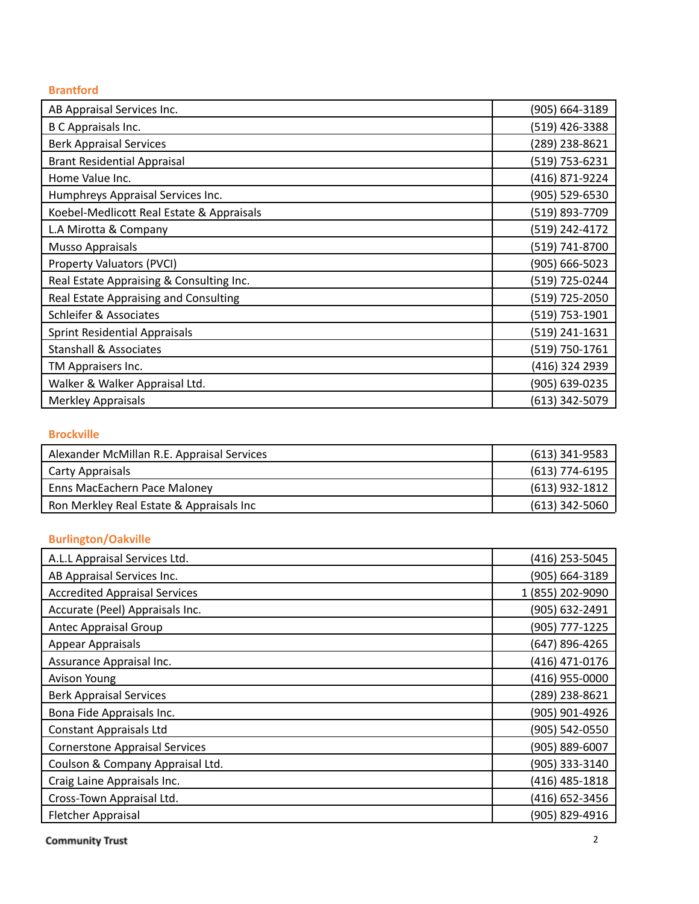#### **Brantford**

| AB Appraisal Services Inc.                | (905) 664-3189 |
|-------------------------------------------|----------------|
| <b>B C Appraisals Inc.</b>                | (519) 426-3388 |
| <b>Berk Appraisal Services</b>            | (289) 238-8621 |
| <b>Brant Residential Appraisal</b>        | (519) 753-6231 |
| Home Value Inc.                           | (416) 871-9224 |
| Humphreys Appraisal Services Inc.         | (905) 529-6530 |
| Koebel-Medlicott Real Estate & Appraisals | (519) 893-7709 |
| L.A Mirotta & Company                     | (519) 242-4172 |
| Musso Appraisals                          | (519) 741-8700 |
| Property Valuators (PVCI)                 | (905) 666-5023 |
| Real Estate Appraising & Consulting Inc.  | (519) 725-0244 |
| Real Estate Appraising and Consulting     | (519) 725-2050 |
| Schleifer & Associates                    | (519) 753-1901 |
| <b>Sprint Residential Appraisals</b>      | (519) 241-1631 |
| <b>Stanshall &amp; Associates</b>         | (519) 750-1761 |
| TM Appraisers Inc.                        | (416) 324 2939 |
| Walker & Walker Appraisal Ltd.            | (905) 639-0235 |
| <b>Merkley Appraisals</b>                 | (613) 342-5079 |

#### **B r o c k v ille**

| Alexander McMillan R.E. Appraisal Services | (613) 341-9583   |
|--------------------------------------------|------------------|
| Carty Appraisals                           | (613) 774-6195   |
| Enns MacEachern Pace Maloney               | (613) 932-1812   |
| Ron Merkley Real Estate & Appraisals Inc   | $(613)$ 342-5060 |

#### **Burlington/Oakville**

| A.L.L Appraisal Services Ltd.         | (416) 253-5045   |
|---------------------------------------|------------------|
| AB Appraisal Services Inc.            | (905) 664-3189   |
| <b>Accredited Appraisal Services</b>  | 1 (855) 202-9090 |
| Accurate (Peel) Appraisals Inc.       | (905) 632-2491   |
| <b>Antec Appraisal Group</b>          | (905) 777-1225   |
| Appear Appraisals                     | (647) 896-4265   |
| Assurance Appraisal Inc.              | (416) 471-0176   |
| Avison Young                          | (416) 955-0000   |
| <b>Berk Appraisal Services</b>        | (289) 238-8621   |
| Bona Fide Appraisals Inc.             | (905) 901-4926   |
| <b>Constant Appraisals Ltd</b>        | (905) 542-0550   |
| <b>Cornerstone Appraisal Services</b> | (905) 889-6007   |
| Coulson & Company Appraisal Ltd.      | (905) 333-3140   |
| Craig Laine Appraisals Inc.           | (416) 485-1818   |
| Cross-Town Appraisal Ltd.             | (416) 652-3456   |
| <b>Fletcher Appraisal</b>             | (905) 829-4916   |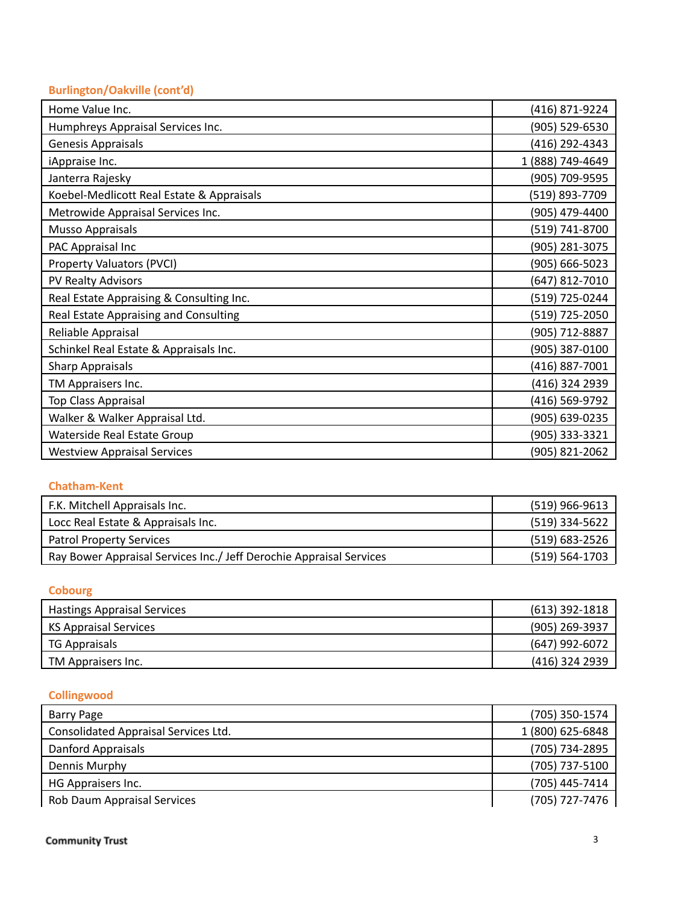# **Burlington/Oakville (cont'd)**

| Home Value Inc.                           | (416) 871-9224   |
|-------------------------------------------|------------------|
| Humphreys Appraisal Services Inc.         | (905) 529-6530   |
| Genesis Appraisals                        | (416) 292-4343   |
| iAppraise Inc.                            | 1 (888) 749-4649 |
| Janterra Rajesky                          | (905) 709-9595   |
| Koebel-Medlicott Real Estate & Appraisals | (519) 893-7709   |
| Metrowide Appraisal Services Inc.         | (905) 479-4400   |
| Musso Appraisals                          | (519) 741-8700   |
| PAC Appraisal Inc                         | (905) 281-3075   |
| Property Valuators (PVCI)                 | (905) 666-5023   |
| PV Realty Advisors                        | (647) 812-7010   |
| Real Estate Appraising & Consulting Inc.  | (519) 725-0244   |
| Real Estate Appraising and Consulting     | (519) 725-2050   |
| Reliable Appraisal                        | (905) 712-8887   |
| Schinkel Real Estate & Appraisals Inc.    | (905) 387-0100   |
| <b>Sharp Appraisals</b>                   | (416) 887-7001   |
| TM Appraisers Inc.                        | (416) 324 2939   |
| Top Class Appraisal                       | (416) 569-9792   |
| Walker & Walker Appraisal Ltd.            | (905) 639-0235   |
| Waterside Real Estate Group               | (905) 333-3321   |
| <b>Westview Appraisal Services</b>        | (905) 821-2062   |

### **Chatham-Kent**

| F.K. Mitchell Appraisals Inc.                                       | $(519)$ 966-9613   |
|---------------------------------------------------------------------|--------------------|
| Locc Real Estate & Appraisals Inc.                                  | (519) 334-5622     |
| <b>Patrol Property Services</b>                                     | (519) 683-2526     |
| Ray Bower Appraisal Services Inc./ Jeff Derochie Appraisal Services | $(519) 564 - 1703$ |

#### **Cobourg**

| <b>Hastings Appraisal Services</b> | $(613)$ 392-1818 |
|------------------------------------|------------------|
| KS Appraisal Services              | (905) 269-3937   |
| <b>TG Appraisals</b>               | $(647)$ 992-6072 |
| TM Appraisers Inc.                 | (416) 324 2939   |

# **Collingwood**

| <b>Barry Page</b>                    | (705) 350-1574   |
|--------------------------------------|------------------|
| Consolidated Appraisal Services Ltd. | 1 (800) 625-6848 |
| Danford Appraisals                   | (705) 734-2895   |
| Dennis Murphy                        | (705) 737-5100   |
| HG Appraisers Inc.                   | (705) 445-7414   |
| Rob Daum Appraisal Services          | (705) 727-7476   |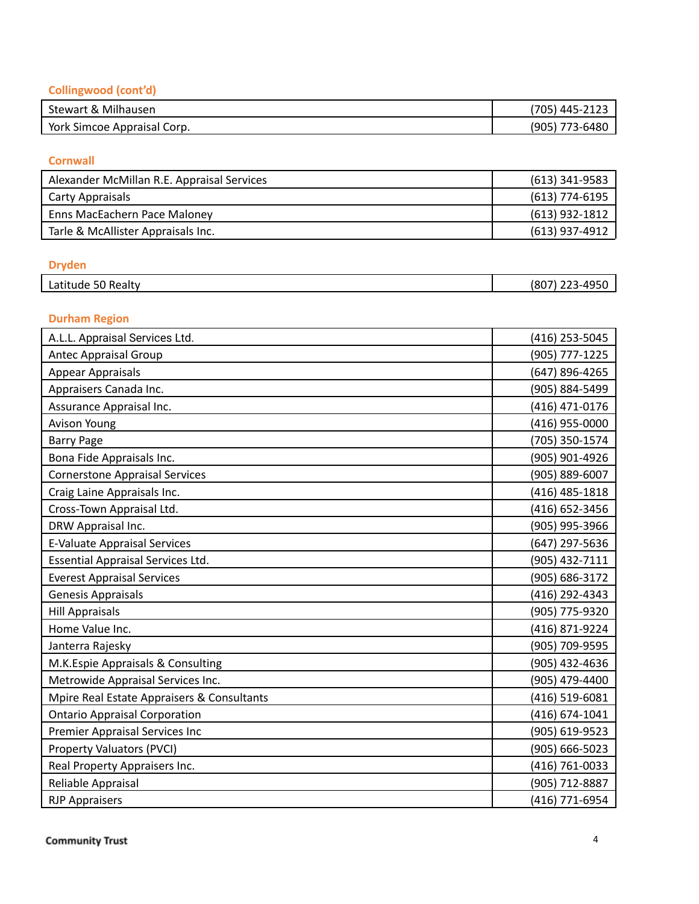#### Collingwood (cont'd)

| Stewart & Milhausen         | $\sim$ 445-2120<br>. ت ۲ |
|-----------------------------|--------------------------|
| York Simcoe Appraisal Corp. | '905)<br>773-6480        |

#### **C o r n w all**

| (613) 341-9583   |
|------------------|
| $(613)$ 774-6195 |
| $(613)$ 932-1812 |
| (613) 937-4912   |
|                  |

#### **Dryden**

| .<br>Latitude '<br>Realty<br>JU. | 10 E C<br>(807)<br>$-1 -$<br>TJJU<br>--- |
|----------------------------------|------------------------------------------|
|                                  |                                          |

#### **Durham Region**

| A.L.L. Appraisal Services Ltd.             | (416) 253-5045 |
|--------------------------------------------|----------------|
| <b>Antec Appraisal Group</b>               | (905) 777-1225 |
| <b>Appear Appraisals</b>                   | (647) 896-4265 |
| Appraisers Canada Inc.                     | (905) 884-5499 |
| Assurance Appraisal Inc.                   | (416) 471-0176 |
| <b>Avison Young</b>                        | (416) 955-0000 |
| <b>Barry Page</b>                          | (705) 350-1574 |
| Bona Fide Appraisals Inc.                  | (905) 901-4926 |
| <b>Cornerstone Appraisal Services</b>      | (905) 889-6007 |
| Craig Laine Appraisals Inc.                | (416) 485-1818 |
| Cross-Town Appraisal Ltd.                  | (416) 652-3456 |
| DRW Appraisal Inc.                         | (905) 995-3966 |
| <b>E-Valuate Appraisal Services</b>        | (647) 297-5636 |
| <b>Essential Appraisal Services Ltd.</b>   | (905) 432-7111 |
| <b>Everest Appraisal Services</b>          | (905) 686-3172 |
| <b>Genesis Appraisals</b>                  | (416) 292-4343 |
| <b>Hill Appraisals</b>                     | (905) 775-9320 |
| Home Value Inc.                            | (416) 871-9224 |
| Janterra Rajesky                           | (905) 709-9595 |
| M.K.Espie Appraisals & Consulting          | (905) 432-4636 |
| Metrowide Appraisal Services Inc.          | (905) 479-4400 |
| Mpire Real Estate Appraisers & Consultants | (416) 519-6081 |
| <b>Ontario Appraisal Corporation</b>       | (416) 674-1041 |
| <b>Premier Appraisal Services Inc</b>      | (905) 619-9523 |
| <b>Property Valuators (PVCI)</b>           | (905) 666-5023 |
| Real Property Appraisers Inc.              | (416) 761-0033 |
| Reliable Appraisal                         | (905) 712-8887 |
| <b>RJP Appraisers</b>                      | (416) 771-6954 |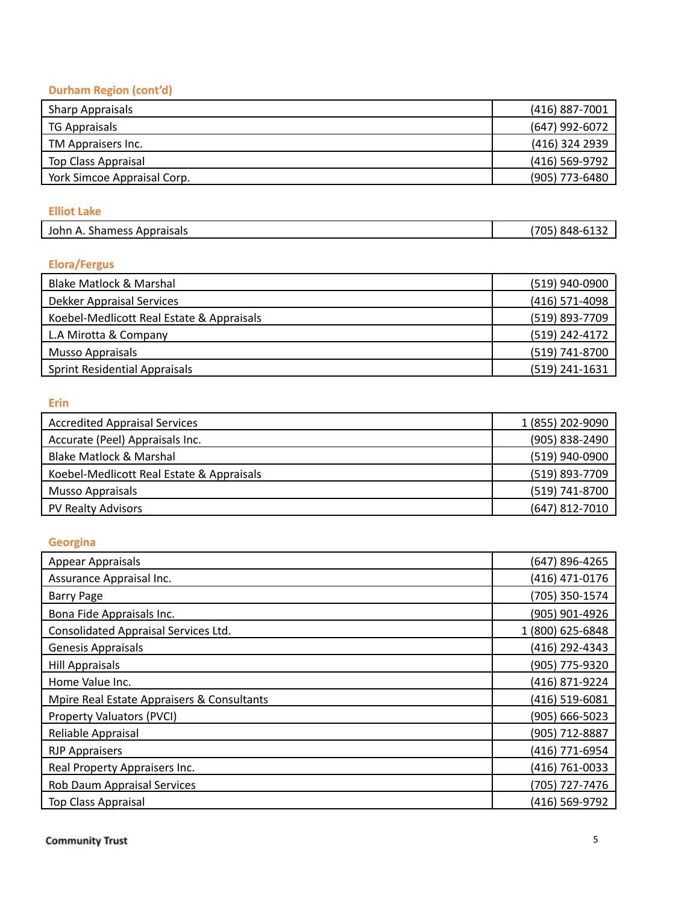#### **Durham Region (cont'd)**

| <b>Sharp Appraisals</b>     | (416) 887-7001 |
|-----------------------------|----------------|
| TG Appraisals               | (647) 992-6072 |
| TM Appraisers Inc.          | (416) 324 2939 |
| Top Class Appraisal         | (416) 569-9792 |
| York Simcoe Appraisal Corp. | (905) 773-6480 |

#### **Elliot Lake**

| Appraisals<br>shamesh.<br>Johr<br>. .<br>−. | 70۲<br>OAU<br>^4^ |
|---------------------------------------------|-------------------|
|                                             |                   |

#### **Elora/Fergus**

| Blake Matlock & Marshal                   | (519) 940-0900   |
|-------------------------------------------|------------------|
| <b>Dekker Appraisal Services</b>          | $(416)$ 571-4098 |
| Koebel-Medlicott Real Estate & Appraisals | (519) 893-7709   |
| L.A Mirotta & Company                     | (519) 242-4172   |
| Musso Appraisals                          | (519) 741-8700   |
| <b>Sprint Residential Appraisals</b>      | (519) 241-1631   |

#### **E r i n**

| <b>Accredited Appraisal Services</b>      | 1 (855) 202-9090 |
|-------------------------------------------|------------------|
| Accurate (Peel) Appraisals Inc.           | (905) 838-2490   |
| Blake Matlock & Marshal                   | (519) 940-0900   |
| Koebel-Medlicott Real Estate & Appraisals | (519) 893-7709   |
| Musso Appraisals                          | (519) 741-8700   |
| PV Realty Advisors                        | $(647)$ 812-7010 |

#### Georgina

| <b>Appear Appraisals</b>                   | (647) 896-4265   |
|--------------------------------------------|------------------|
| Assurance Appraisal Inc.                   | (416) 471-0176   |
| <b>Barry Page</b>                          | (705) 350-1574   |
| Bona Fide Appraisals Inc.                  | (905) 901-4926   |
| Consolidated Appraisal Services Ltd.       | 1 (800) 625-6848 |
| <b>Genesis Appraisals</b>                  | (416) 292-4343   |
| <b>Hill Appraisals</b>                     | (905) 775-9320   |
| Home Value Inc.                            | (416) 871-9224   |
| Mpire Real Estate Appraisers & Consultants | (416) 519-6081   |
| Property Valuators (PVCI)                  | (905) 666-5023   |
| Reliable Appraisal                         | (905) 712-8887   |
| <b>RJP Appraisers</b>                      | (416) 771-6954   |
| Real Property Appraisers Inc.              | (416) 761-0033   |
| Rob Daum Appraisal Services                | (705) 727-7476   |
| <b>Top Class Appraisal</b>                 | (416) 569-9792   |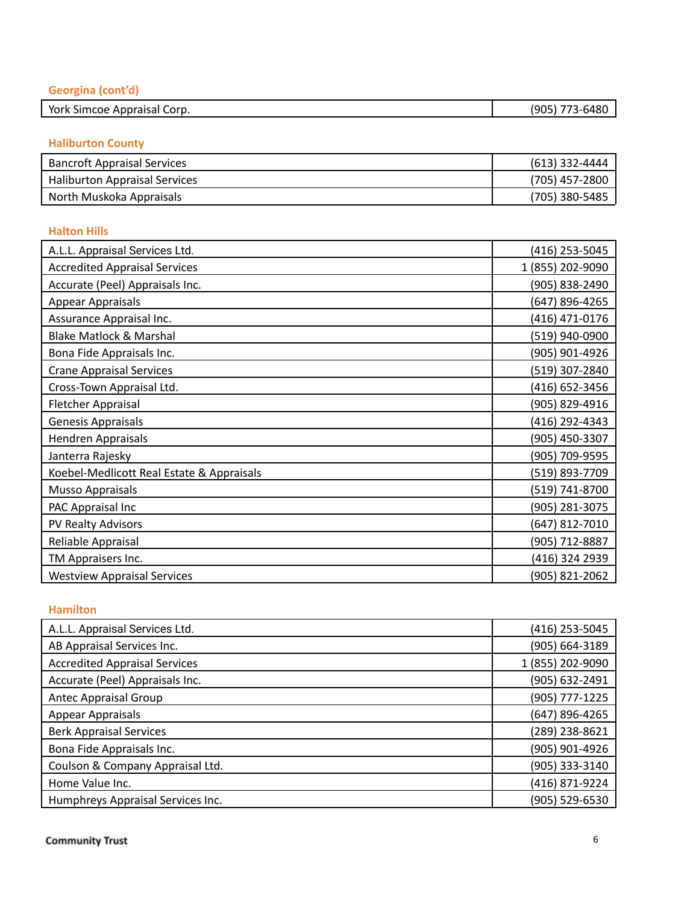| Georgina (cont'd)           |                |
|-----------------------------|----------------|
| York Simcoe Appraisal Corp. | (905) 773-6480 |

#### **Haliburton County**

| <b>Bancroft Appraisal Services</b>   | (613) 332-4444 |
|--------------------------------------|----------------|
| <b>Haliburton Appraisal Services</b> | (705) 457-2800 |
| North Muskoka Appraisals             | (705) 380-5485 |

#### **H alt o n H ills**

| A.L.L. Appraisal Services Ltd.            | (416) 253-5045   |
|-------------------------------------------|------------------|
| <b>Accredited Appraisal Services</b>      | 1 (855) 202-9090 |
| Accurate (Peel) Appraisals Inc.           | (905) 838-2490   |
| Appear Appraisals                         | (647) 896-4265   |
| Assurance Appraisal Inc.                  | (416) 471-0176   |
| <b>Blake Matlock &amp; Marshal</b>        | (519) 940-0900   |
| Bona Fide Appraisals Inc.                 | (905) 901-4926   |
| <b>Crane Appraisal Services</b>           | (519) 307-2840   |
| Cross-Town Appraisal Ltd.                 | (416) 652-3456   |
| Fletcher Appraisal                        | (905) 829-4916   |
| Genesis Appraisals                        | (416) 292-4343   |
| <b>Hendren Appraisals</b>                 | (905) 450-3307   |
| Janterra Rajesky                          | (905) 709-9595   |
| Koebel-Medlicott Real Estate & Appraisals | (519) 893-7709   |
| Musso Appraisals                          | (519) 741-8700   |
| PAC Appraisal Inc                         | (905) 281-3075   |
| PV Realty Advisors                        | (647) 812-7010   |
| Reliable Appraisal                        | (905) 712-8887   |
| TM Appraisers Inc.                        | (416) 324 2939   |
| <b>Westview Appraisal Services</b>        | (905) 821-2062   |

#### **Hamilton**

| A.L.L. Appraisal Services Ltd.       | (416) 253-5045   |
|--------------------------------------|------------------|
| AB Appraisal Services Inc.           | (905) 664-3189   |
| <b>Accredited Appraisal Services</b> | 1 (855) 202-9090 |
| Accurate (Peel) Appraisals Inc.      | (905) 632-2491   |
| <b>Antec Appraisal Group</b>         | (905) 777-1225   |
| Appear Appraisals                    | (647) 896-4265   |
| <b>Berk Appraisal Services</b>       | (289) 238-8621   |
| Bona Fide Appraisals Inc.            | (905) 901-4926   |
| Coulson & Company Appraisal Ltd.     | (905) 333-3140   |
| Home Value Inc.                      | (416) 871-9224   |
| Humphreys Appraisal Services Inc.    | (905) 529-6530   |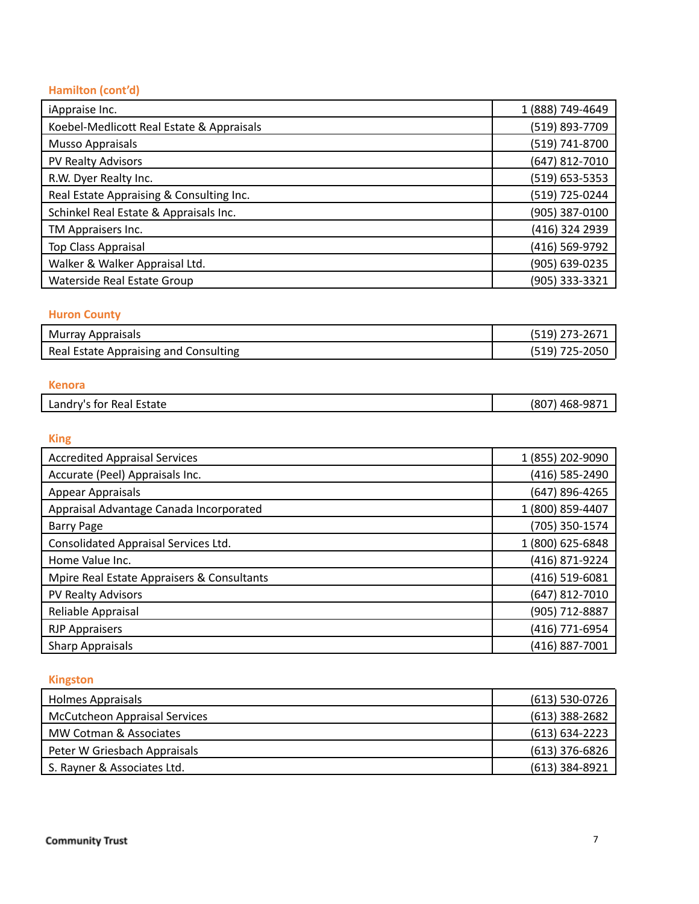#### **Hamilton (cont'd)**

| iAppraise Inc.                            | 1 (888) 749-4649 |
|-------------------------------------------|------------------|
| Koebel-Medlicott Real Estate & Appraisals | (519) 893-7709   |
| <b>Musso Appraisals</b>                   | (519) 741-8700   |
| PV Realty Advisors                        | (647) 812-7010   |
| R.W. Dyer Realty Inc.                     | (519) 653-5353   |
| Real Estate Appraising & Consulting Inc.  | (519) 725-0244   |
| Schinkel Real Estate & Appraisals Inc.    | (905) 387-0100   |
| TM Appraisers Inc.                        | (416) 324 2939   |
| Top Class Appraisal                       | (416) 569-9792   |
| Walker & Walker Appraisal Ltd.            | (905) 639-0235   |
| Waterside Real Estate Group               | (905) 333-3321   |

#### **Huron County**

| <b>Murray Appraisals</b>              | (519) 273-2671 |
|---------------------------------------|----------------|
| Real Estate Appraising and Consulting | (519) 725-2050 |

#### **K e n o r a** Landry's for Real Estate (807) 468-9871

#### **K i n g**

| <b>Accredited Appraisal Services</b>       | 1 (855) 202-9090 |
|--------------------------------------------|------------------|
| Accurate (Peel) Appraisals Inc.            | (416) 585-2490   |
| Appear Appraisals                          | (647) 896-4265   |
| Appraisal Advantage Canada Incorporated    | 1 (800) 859-4407 |
| <b>Barry Page</b>                          | (705) 350-1574   |
| Consolidated Appraisal Services Ltd.       | 1 (800) 625-6848 |
| Home Value Inc.                            | (416) 871-9224   |
| Mpire Real Estate Appraisers & Consultants | (416) 519-6081   |
| PV Realty Advisors                         | (647) 812-7010   |
| Reliable Appraisal                         | (905) 712-8887   |
| <b>RJP Appraisers</b>                      | (416) 771-6954   |
| <b>Sharp Appraisals</b>                    | (416) 887-7001   |

#### **Kingston**

| <b>Holmes Appraisals</b>             | $(613) 530-0726$   |
|--------------------------------------|--------------------|
| <b>McCutcheon Appraisal Services</b> | $(613)$ 388-2682   |
| MW Cotman & Associates               | $(613) 634 - 2223$ |
| Peter W Griesbach Appraisals         | $(613)$ 376-6826   |
| S. Rayner & Associates Ltd.          | $(613)$ 384-8921   |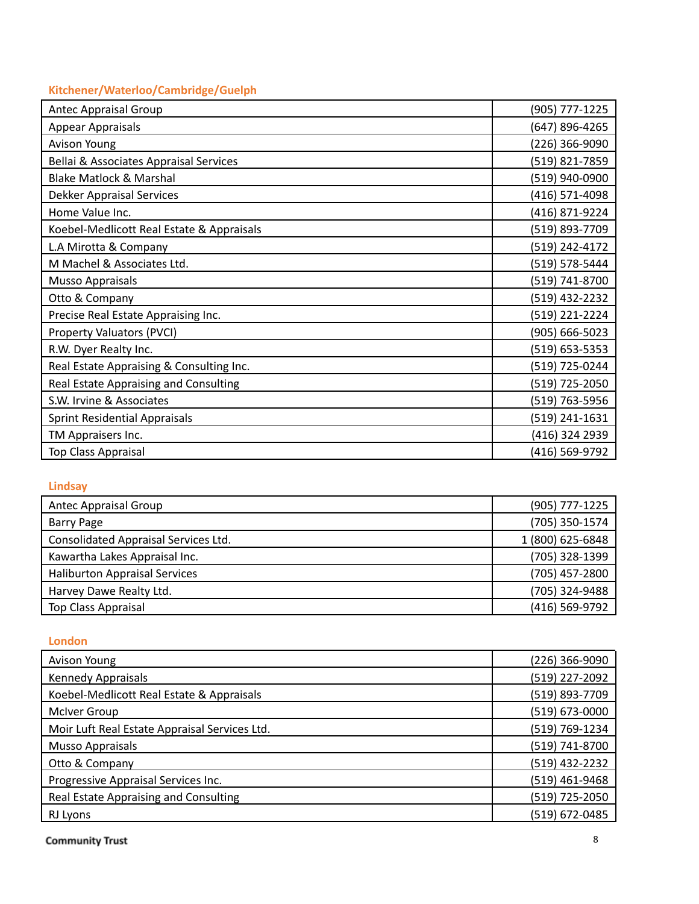#### Kitchener/Waterloo/Cambridge/Guelph

| <b>Antec Appraisal Group</b>              | (905) 777-1225 |
|-------------------------------------------|----------------|
| <b>Appear Appraisals</b>                  | (647) 896-4265 |
| <b>Avison Young</b>                       | (226) 366-9090 |
| Bellai & Associates Appraisal Services    | (519) 821-7859 |
| <b>Blake Matlock &amp; Marshal</b>        | (519) 940-0900 |
| <b>Dekker Appraisal Services</b>          | (416) 571-4098 |
| Home Value Inc.                           | (416) 871-9224 |
| Koebel-Medlicott Real Estate & Appraisals | (519) 893-7709 |
| L.A Mirotta & Company                     | (519) 242-4172 |
| M Machel & Associates Ltd.                | (519) 578-5444 |
| <b>Musso Appraisals</b>                   | (519) 741-8700 |
| Otto & Company                            | (519) 432-2232 |
| Precise Real Estate Appraising Inc.       | (519) 221-2224 |
| Property Valuators (PVCI)                 | (905) 666-5023 |
| R.W. Dyer Realty Inc.                     | (519) 653-5353 |
| Real Estate Appraising & Consulting Inc.  | (519) 725-0244 |
| Real Estate Appraising and Consulting     | (519) 725-2050 |
| S.W. Irvine & Associates                  | (519) 763-5956 |
| <b>Sprint Residential Appraisals</b>      | (519) 241-1631 |
| TM Appraisers Inc.                        | (416) 324 2939 |
| Top Class Appraisal                       | (416) 569-9792 |

#### **Lindsay**

| Antec Appraisal Group                | (905) 777-1225   |
|--------------------------------------|------------------|
| <b>Barry Page</b>                    | (705) 350-1574   |
| Consolidated Appraisal Services Ltd. | 1 (800) 625-6848 |
| Kawartha Lakes Appraisal Inc.        | (705) 328-1399   |
| <b>Haliburton Appraisal Services</b> | (705) 457-2800   |
| Harvey Dawe Realty Ltd.              | (705) 324-9488   |
| Top Class Appraisal                  | (416) 569-9792   |

#### **London**

| Avison Young                                  | (226) 366-9090 |
|-----------------------------------------------|----------------|
| Kennedy Appraisals                            | (519) 227-2092 |
| Koebel-Medlicott Real Estate & Appraisals     | (519) 893-7709 |
| McIver Group                                  | (519) 673-0000 |
| Moir Luft Real Estate Appraisal Services Ltd. | (519) 769-1234 |
| <b>Musso Appraisals</b>                       | (519) 741-8700 |
| Otto & Company                                | (519) 432-2232 |
| Progressive Appraisal Services Inc.           | (519) 461-9468 |
| Real Estate Appraising and Consulting         | (519) 725-2050 |
| RJ Lyons                                      | (519) 672-0485 |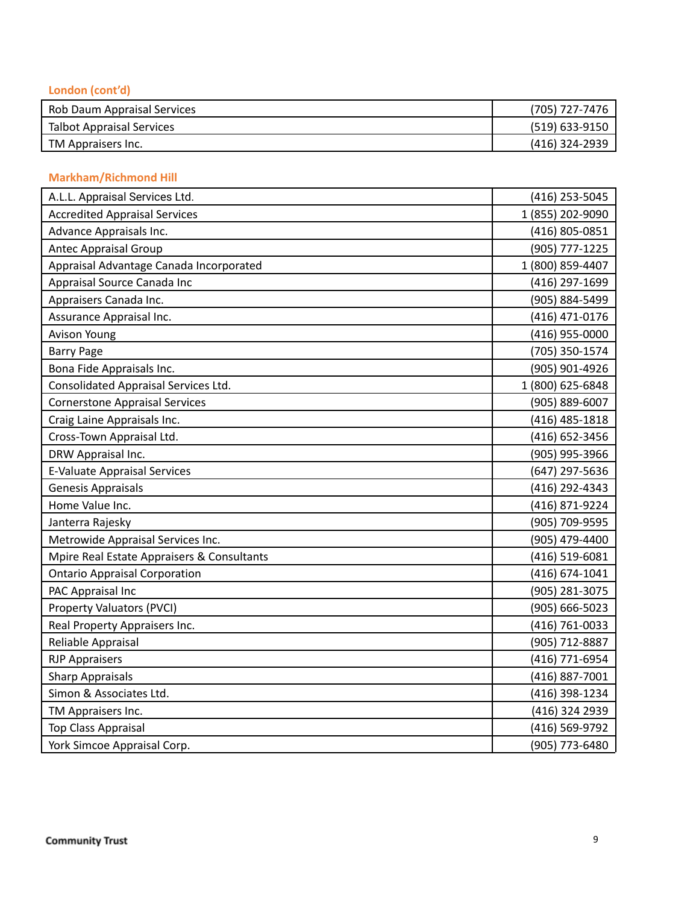#### London (cont'd)

| Rob Daum Appraisal Services | (705) 727-7476   |
|-----------------------------|------------------|
| Talbot Appraisal Services   | $(519)$ 633-9150 |
| TM Appraisers Inc.          | (416) 324-2939   |

#### **Markham/Richmond Hill**

| A.L.L. Appraisal Services Ltd.             | (416) 253-5045     |
|--------------------------------------------|--------------------|
| <b>Accredited Appraisal Services</b>       | 1 (855) 202-9090   |
| Advance Appraisals Inc.                    | (416) 805-0851     |
| <b>Antec Appraisal Group</b>               | (905) 777-1225     |
| Appraisal Advantage Canada Incorporated    | 1 (800) 859-4407   |
| Appraisal Source Canada Inc                | (416) 297-1699     |
| Appraisers Canada Inc.                     | (905) 884-5499     |
| Assurance Appraisal Inc.                   | (416) 471-0176     |
| <b>Avison Young</b>                        | (416) 955-0000     |
| <b>Barry Page</b>                          | (705) 350-1574     |
| Bona Fide Appraisals Inc.                  | (905) 901-4926     |
| Consolidated Appraisal Services Ltd.       | 1 (800) 625-6848   |
| <b>Cornerstone Appraisal Services</b>      | (905) 889-6007     |
| Craig Laine Appraisals Inc.                | (416) 485-1818     |
| Cross-Town Appraisal Ltd.                  | (416) 652-3456     |
| DRW Appraisal Inc.                         | (905) 995-3966     |
| <b>E-Valuate Appraisal Services</b>        | (647) 297-5636     |
| <b>Genesis Appraisals</b>                  | (416) 292-4343     |
| Home Value Inc.                            | (416) 871-9224     |
| Janterra Rajesky                           | (905) 709-9595     |
| Metrowide Appraisal Services Inc.          | (905) 479-4400     |
| Mpire Real Estate Appraisers & Consultants | (416) 519-6081     |
| <b>Ontario Appraisal Corporation</b>       | $(416) 674 - 1041$ |
| PAC Appraisal Inc                          | (905) 281-3075     |
| <b>Property Valuators (PVCI)</b>           | $(905) 666 - 5023$ |
| Real Property Appraisers Inc.              | (416) 761-0033     |
| Reliable Appraisal                         | (905) 712-8887     |
| <b>RJP Appraisers</b>                      | (416) 771-6954     |
| <b>Sharp Appraisals</b>                    | (416) 887-7001     |
| Simon & Associates Ltd.                    | (416) 398-1234     |
| TM Appraisers Inc.                         | (416) 324 2939     |
| Top Class Appraisal                        | (416) 569-9792     |
| York Simcoe Appraisal Corp.                | (905) 773-6480     |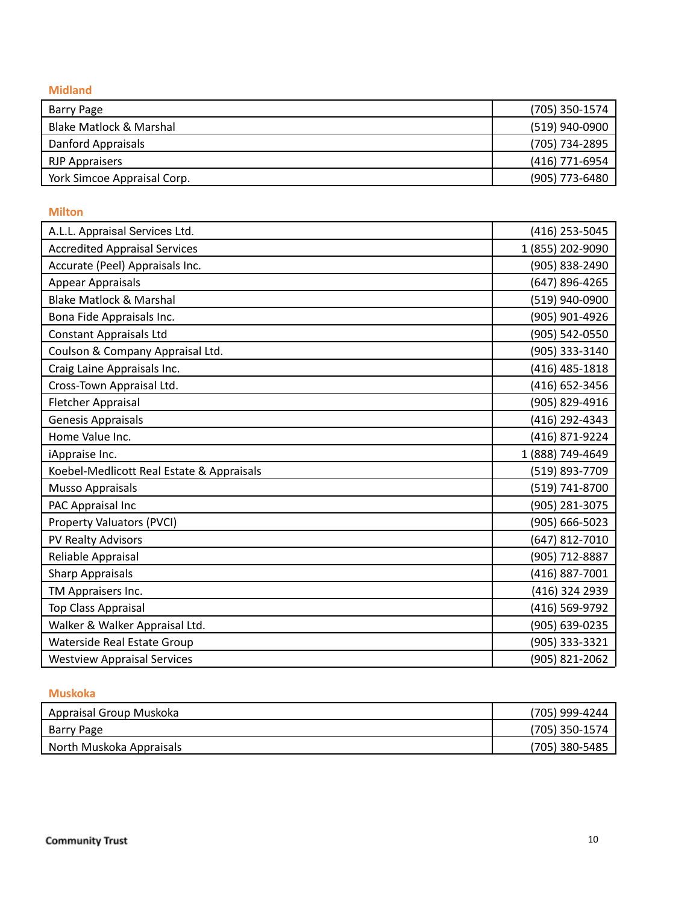**Midland** 

| Barry Page                  | (705) 350-1574 |
|-----------------------------|----------------|
| Blake Matlock & Marshal     | (519) 940-0900 |
| Danford Appraisals          | (705) 734-2895 |
| <b>RJP Appraisers</b>       | (416) 771-6954 |
| York Simcoe Appraisal Corp. | (905) 773-6480 |

#### **Milton**

| A.L.L. Appraisal Services Ltd.            | (416) 253-5045   |
|-------------------------------------------|------------------|
| <b>Accredited Appraisal Services</b>      | 1 (855) 202-9090 |
| Accurate (Peel) Appraisals Inc.           | (905) 838-2490   |
| <b>Appear Appraisals</b>                  | (647) 896-4265   |
| <b>Blake Matlock &amp; Marshal</b>        | (519) 940-0900   |
| Bona Fide Appraisals Inc.                 | (905) 901-4926   |
| <b>Constant Appraisals Ltd</b>            | (905) 542-0550   |
| Coulson & Company Appraisal Ltd.          | (905) 333-3140   |
| Craig Laine Appraisals Inc.               | (416) 485-1818   |
| Cross-Town Appraisal Ltd.                 | (416) 652-3456   |
| Fletcher Appraisal                        | (905) 829-4916   |
| <b>Genesis Appraisals</b>                 | (416) 292-4343   |
| Home Value Inc.                           | (416) 871-9224   |
| iAppraise Inc.                            | 1 (888) 749-4649 |
| Koebel-Medlicott Real Estate & Appraisals | (519) 893-7709   |
| <b>Musso Appraisals</b>                   | (519) 741-8700   |
| PAC Appraisal Inc                         | (905) 281-3075   |
| <b>Property Valuators (PVCI)</b>          | (905) 666-5023   |
| PV Realty Advisors                        | (647) 812-7010   |
| Reliable Appraisal                        | (905) 712-8887   |
| <b>Sharp Appraisals</b>                   | (416) 887-7001   |
| TM Appraisers Inc.                        | (416) 324 2939   |
| Top Class Appraisal                       | (416) 569-9792   |
| Walker & Walker Appraisal Ltd.            | (905) 639-0235   |
| Waterside Real Estate Group               | (905) 333-3321   |
| <b>Westview Appraisal Services</b>        | (905) 821-2062   |

#### **Muskoka**

| Appraisal Group Muskoka  | (705) 999-4244 |
|--------------------------|----------------|
| Barry Page               | (705) 350-1574 |
| North Muskoka Appraisals | (705) 380-5485 |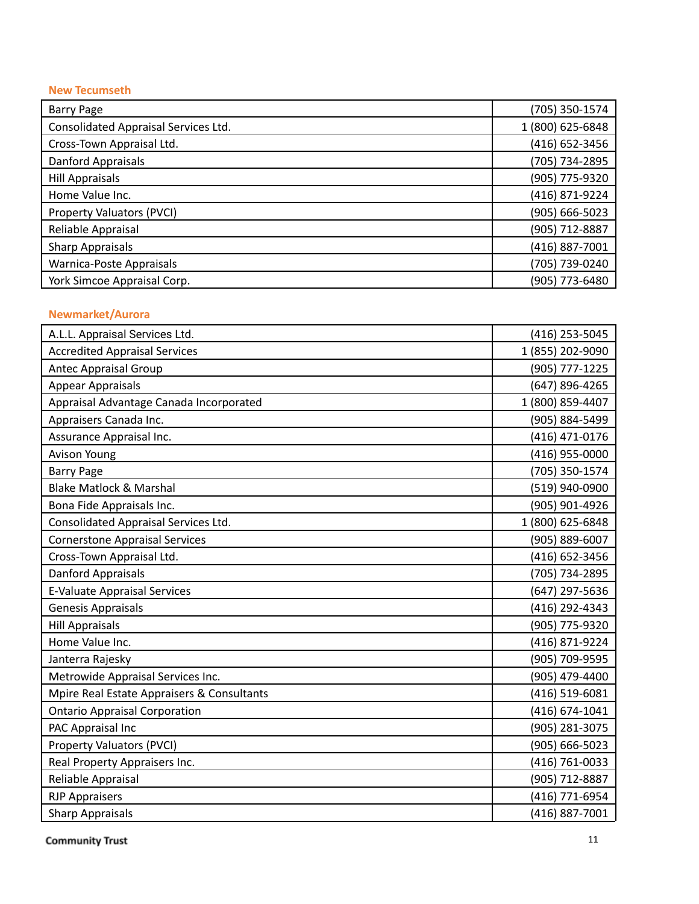#### **New Tecumseth**

| <b>Barry Page</b>                    | (705) 350-1574   |
|--------------------------------------|------------------|
| Consolidated Appraisal Services Ltd. | 1 (800) 625-6848 |
| Cross-Town Appraisal Ltd.            | (416) 652-3456   |
| Danford Appraisals                   | (705) 734-2895   |
| <b>Hill Appraisals</b>               | (905) 775-9320   |
| Home Value Inc.                      | (416) 871-9224   |
| Property Valuators (PVCI)            | (905) 666-5023   |
| Reliable Appraisal                   | (905) 712-8887   |
| <b>Sharp Appraisals</b>              | (416) 887-7001   |
| Warnica-Poste Appraisals             | (705) 739-0240   |
| York Simcoe Appraisal Corp.          | (905) 773-6480   |

#### **Newmarket/Aurora**

| A.L.L. Appraisal Services Ltd.             | (416) 253-5045   |
|--------------------------------------------|------------------|
| <b>Accredited Appraisal Services</b>       | 1 (855) 202-9090 |
| <b>Antec Appraisal Group</b>               | (905) 777-1225   |
| <b>Appear Appraisals</b>                   | (647) 896-4265   |
| Appraisal Advantage Canada Incorporated    | 1 (800) 859-4407 |
| Appraisers Canada Inc.                     | (905) 884-5499   |
| Assurance Appraisal Inc.                   | (416) 471-0176   |
| <b>Avison Young</b>                        | (416) 955-0000   |
| <b>Barry Page</b>                          | (705) 350-1574   |
| <b>Blake Matlock &amp; Marshal</b>         | (519) 940-0900   |
| Bona Fide Appraisals Inc.                  | (905) 901-4926   |
| Consolidated Appraisal Services Ltd.       | 1 (800) 625-6848 |
| <b>Cornerstone Appraisal Services</b>      | (905) 889-6007   |
| Cross-Town Appraisal Ltd.                  | (416) 652-3456   |
| <b>Danford Appraisals</b>                  | (705) 734-2895   |
| <b>E-Valuate Appraisal Services</b>        | (647) 297-5636   |
| Genesis Appraisals                         | (416) 292-4343   |
| <b>Hill Appraisals</b>                     | (905) 775-9320   |
| Home Value Inc.                            | (416) 871-9224   |
| Janterra Rajesky                           | (905) 709-9595   |
| Metrowide Appraisal Services Inc.          | (905) 479-4400   |
| Mpire Real Estate Appraisers & Consultants | (416) 519-6081   |
| <b>Ontario Appraisal Corporation</b>       | (416) 674-1041   |
| PAC Appraisal Inc                          | (905) 281-3075   |
| Property Valuators (PVCI)                  | (905) 666-5023   |
| Real Property Appraisers Inc.              | (416) 761-0033   |
| Reliable Appraisal                         | (905) 712-8887   |
| <b>RJP Appraisers</b>                      | (416) 771-6954   |
| <b>Sharp Appraisals</b>                    | (416) 887-7001   |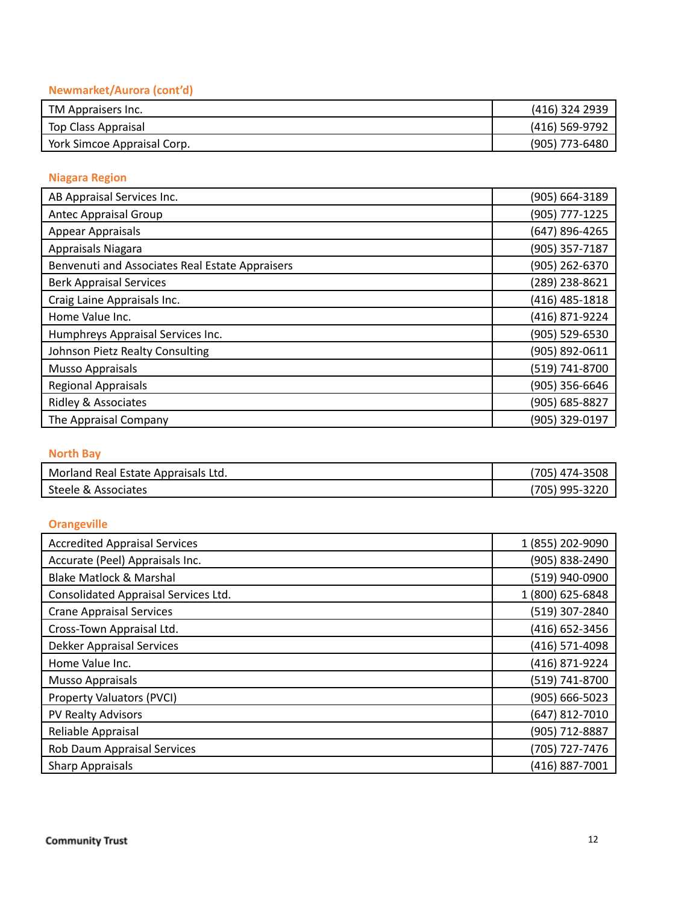#### Newmarket/Aurora (cont'd)

| TM Appraisers Inc.          | (416) 324 2939   |
|-----------------------------|------------------|
| Top Class Appraisal         | (416) 569-9792   |
| York Simcoe Appraisal Corp. | $(905)$ 773-6480 |

#### **Niagara Region**

| AB Appraisal Services Inc.                      | (905) 664-3189   |
|-------------------------------------------------|------------------|
| <b>Antec Appraisal Group</b>                    | (905) 777-1225   |
| Appear Appraisals                               | (647) 896-4265   |
| Appraisals Niagara                              | (905) 357-7187   |
| Benvenuti and Associates Real Estate Appraisers | (905) 262-6370   |
| <b>Berk Appraisal Services</b>                  | (289) 238-8621   |
| Craig Laine Appraisals Inc.                     | $(416)$ 485-1818 |
| Home Value Inc.                                 | (416) 871-9224   |
| Humphreys Appraisal Services Inc.               | (905) 529-6530   |
| Johnson Pietz Realty Consulting                 | (905) 892-0611   |
| Musso Appraisals                                | (519) 741-8700   |
| <b>Regional Appraisals</b>                      | (905) 356-6646   |
| <b>Ridley &amp; Associates</b>                  | (905) 685-8827   |
| The Appraisal Company                           | (905) 329-0197   |

#### **North Bay**

| Morland<br>d Real Estate Appraisals Ltd. | 705<br>-3508<br>$174 - 3$<br>51 ZL |
|------------------------------------------|------------------------------------|
| Steele &                                 | 995-3                              |
| Associates                               | '705,                              |

#### **Orangeville**

| <b>Accredited Appraisal Services</b> | 1 (855) 202-9090 |
|--------------------------------------|------------------|
| Accurate (Peel) Appraisals Inc.      | (905) 838-2490   |
| <b>Blake Matlock &amp; Marshal</b>   | (519) 940-0900   |
| Consolidated Appraisal Services Ltd. | 1 (800) 625-6848 |
| <b>Crane Appraisal Services</b>      | (519) 307-2840   |
| Cross-Town Appraisal Ltd.            | (416) 652-3456   |
| Dekker Appraisal Services            | (416) 571-4098   |
| Home Value Inc.                      | (416) 871-9224   |
| <b>Musso Appraisals</b>              | (519) 741-8700   |
| Property Valuators (PVCI)            | (905) 666-5023   |
| PV Realty Advisors                   | (647) 812-7010   |
| Reliable Appraisal                   | (905) 712-8887   |
| Rob Daum Appraisal Services          | (705) 727-7476   |
| <b>Sharp Appraisals</b>              | (416) 887-7001   |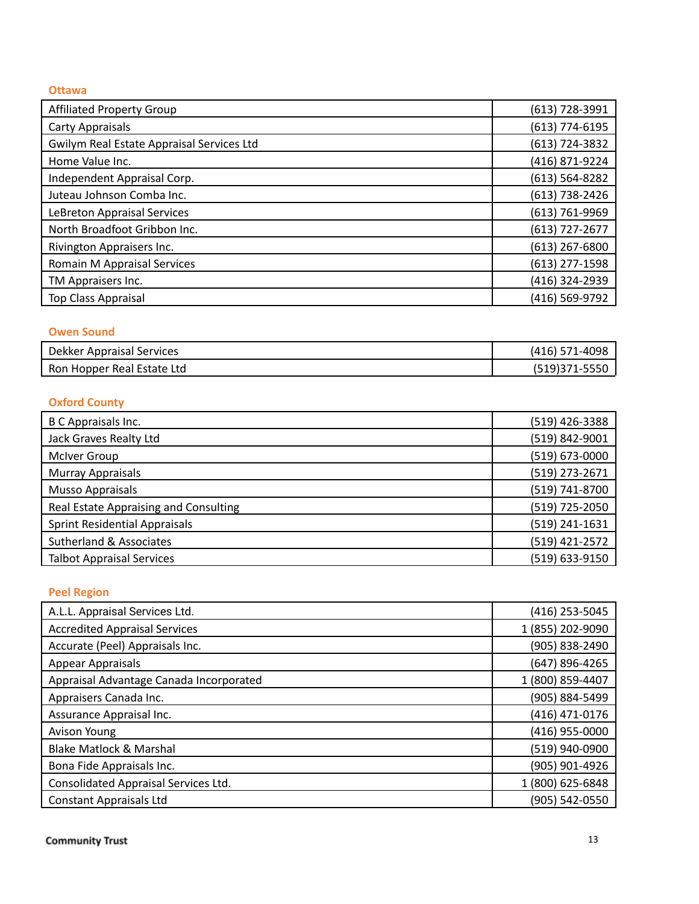#### **O t t a w a**

| <b>Affiliated Property Group</b>          | (613) 728-3991     |
|-------------------------------------------|--------------------|
| <b>Carty Appraisals</b>                   | $(613)$ 774-6195   |
| Gwilym Real Estate Appraisal Services Ltd | (613) 724-3832     |
| Home Value Inc.                           | (416) 871-9224     |
| Independent Appraisal Corp.               | $(613) 564 - 8282$ |
| Juteau Johnson Comba Inc.                 | (613) 738-2426     |
| LeBreton Appraisal Services               | (613) 761-9969     |
| North Broadfoot Gribbon Inc.              | $(613)$ 727-2677   |
| Rivington Appraisers Inc.                 | $(613)$ 267-6800   |
| Romain M Appraisal Services               | $(613)$ 277-1598   |
| TM Appraisers Inc.                        | (416) 324-2939     |
| <b>Top Class Appraisal</b>                | (416) 569-9792     |

#### **Owen Sound**

| Dekker Appraisal Services  | 1-4098<br>(416) 57 |
|----------------------------|--------------------|
| Ron Hopper Real Estate Ltd | ונטו               |

#### **Oxford County**

| B C Appraisals Inc.                   | (519) 426-3388 |
|---------------------------------------|----------------|
| Jack Graves Realty Ltd                | (519) 842-9001 |
| <b>McIver Group</b>                   | (519) 673-0000 |
| <b>Murray Appraisals</b>              | (519) 273-2671 |
| Musso Appraisals                      | (519) 741-8700 |
| Real Estate Appraising and Consulting | (519) 725-2050 |
| <b>Sprint Residential Appraisals</b>  | (519) 241-1631 |
| Sutherland & Associates               | (519) 421-2572 |
| <b>Talbot Appraisal Services</b>      | (519) 633-9150 |

# **Peel Region**

| A.L.L. Appraisal Services Ltd.          | (416) 253-5045   |
|-----------------------------------------|------------------|
| <b>Accredited Appraisal Services</b>    | 1 (855) 202-9090 |
| Accurate (Peel) Appraisals Inc.         | (905) 838-2490   |
| Appear Appraisals                       | (647) 896-4265   |
| Appraisal Advantage Canada Incorporated | 1 (800) 859-4407 |
| Appraisers Canada Inc.                  | (905) 884-5499   |
| Assurance Appraisal Inc.                | (416) 471-0176   |
| <b>Avison Young</b>                     | (416) 955-0000   |
| <b>Blake Matlock &amp; Marshal</b>      | (519) 940-0900   |
| Bona Fide Appraisals Inc.               | (905) 901-4926   |
| Consolidated Appraisal Services Ltd.    | 1 (800) 625-6848 |
| <b>Constant Appraisals Ltd</b>          | (905) 542-0550   |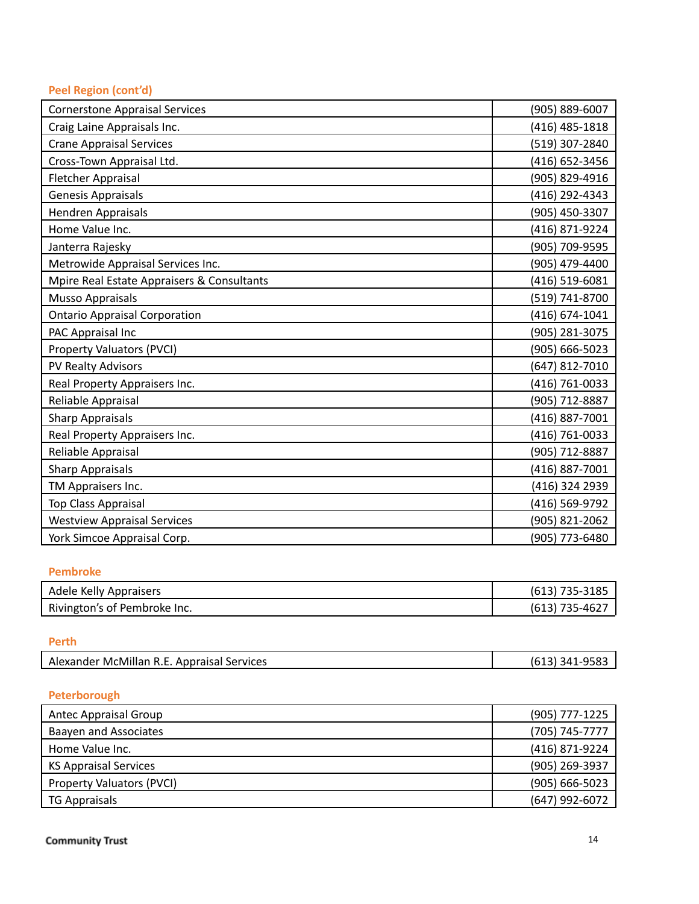#### Peel Region (cont'd)

| <b>Cornerstone Appraisal Services</b>      | (905) 889-6007 |
|--------------------------------------------|----------------|
| Craig Laine Appraisals Inc.                | (416) 485-1818 |
| <b>Crane Appraisal Services</b>            | (519) 307-2840 |
| Cross-Town Appraisal Ltd.                  | (416) 652-3456 |
| Fletcher Appraisal                         | (905) 829-4916 |
| Genesis Appraisals                         | (416) 292-4343 |
| Hendren Appraisals                         | (905) 450-3307 |
| Home Value Inc.                            | (416) 871-9224 |
| Janterra Rajesky                           | (905) 709-9595 |
| Metrowide Appraisal Services Inc.          | (905) 479-4400 |
| Mpire Real Estate Appraisers & Consultants | (416) 519-6081 |
| <b>Musso Appraisals</b>                    | (519) 741-8700 |
| <b>Ontario Appraisal Corporation</b>       | (416) 674-1041 |
| PAC Appraisal Inc                          | (905) 281-3075 |
| <b>Property Valuators (PVCI)</b>           | (905) 666-5023 |
| PV Realty Advisors                         | (647) 812-7010 |
| Real Property Appraisers Inc.              | (416) 761-0033 |
| Reliable Appraisal                         | (905) 712-8887 |
| <b>Sharp Appraisals</b>                    | (416) 887-7001 |
| Real Property Appraisers Inc.              | (416) 761-0033 |
| Reliable Appraisal                         | (905) 712-8887 |
| <b>Sharp Appraisals</b>                    | (416) 887-7001 |
| TM Appraisers Inc.                         | (416) 324 2939 |
| Top Class Appraisal                        | (416) 569-9792 |
| <b>Westview Appraisal Services</b>         | (905) 821-2062 |
| York Simcoe Appraisal Corp.                | (905) 773-6480 |

#### **Pembroke**

| Adele Kelly Appraisers       | $(613)$ 735-3185 |
|------------------------------|------------------|
| Rivington's of Pembroke Inc. | $(613)$ 735-4627 |

#### **P e r t h**

| Alexander McMillan R.E. Appraisal Services | (613) 341-9583 |
|--------------------------------------------|----------------|
|--------------------------------------------|----------------|

#### **Peterborough**

| Antec Appraisal Group            | (905) 777-1225     |
|----------------------------------|--------------------|
| <b>Baayen and Associates</b>     | (705) 745-7777     |
| Home Value Inc.                  | (416) 871-9224     |
| <b>KS Appraisal Services</b>     | (905) 269-3937     |
| <b>Property Valuators (PVCI)</b> | $(905) 666 - 5023$ |
| <b>TG Appraisals</b>             | (647) 992-6072     |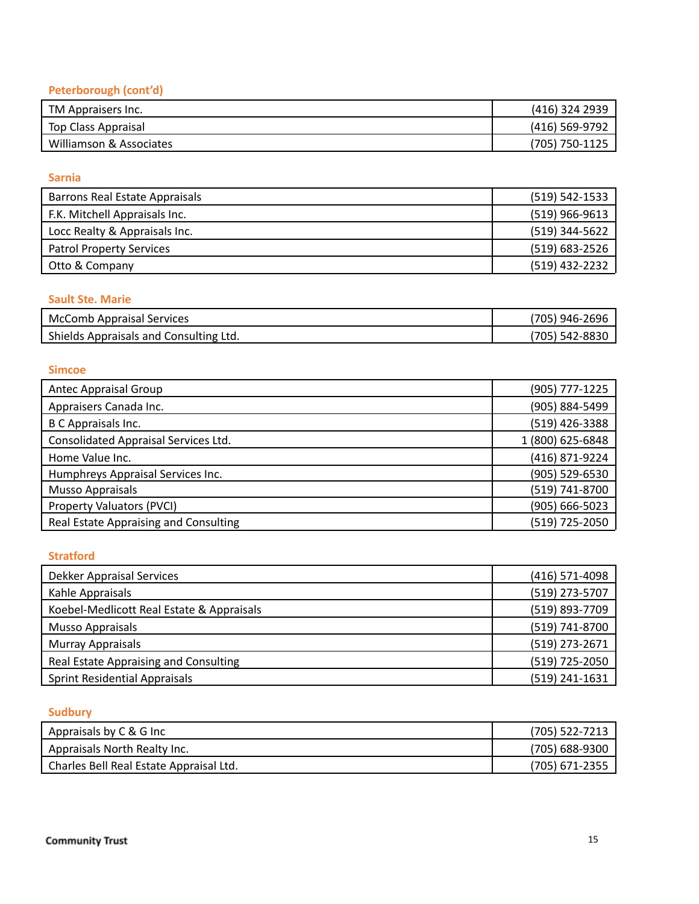# **Peterborough (cont'd)**

| TM Appraisers Inc.      | (416) 324 2939     |
|-------------------------|--------------------|
| Top Class Appraisal     | (416) 569-9792     |
| Williamson & Associates | $(705) 750 - 1125$ |

#### **Sarnia**

| Barrons Real Estate Appraisals  | $(519) 542 - 1533$ |
|---------------------------------|--------------------|
| F.K. Mitchell Appraisals Inc.   | $(519)$ 966-9613   |
| Locc Realty & Appraisals Inc.   | (519) 344-5622     |
| <b>Patrol Property Services</b> | $(519) 683 - 2526$ |
| Otto & Company                  | (519) 432-2232     |

#### **Sault Ste. Marie**

| <b>McComb Appraisal Services</b>       | '705) 946-2696 |
|----------------------------------------|----------------|
| Shields Appraisals and Consulting Ltd. | (705) 542-8830 |

#### **Simcoe**

| <b>Antec Appraisal Group</b>          | (905) 777-1225   |
|---------------------------------------|------------------|
| Appraisers Canada Inc.                | (905) 884-5499   |
| B C Appraisals Inc.                   | (519) 426-3388   |
| Consolidated Appraisal Services Ltd.  | 1 (800) 625-6848 |
| Home Value Inc.                       | (416) 871-9224   |
| Humphreys Appraisal Services Inc.     | (905) 529-6530   |
| <b>Musso Appraisals</b>               | (519) 741-8700   |
| Property Valuators (PVCI)             | (905) 666-5023   |
| Real Estate Appraising and Consulting | (519) 725-2050   |

#### **Stratford**

| <b>Dekker Appraisal Services</b>          | (416) 571-4098 |
|-------------------------------------------|----------------|
| Kahle Appraisals                          | (519) 273-5707 |
| Koebel-Medlicott Real Estate & Appraisals | (519) 893-7709 |
| Musso Appraisals                          | (519) 741-8700 |
| Murray Appraisals                         | (519) 273-2671 |
| Real Estate Appraising and Consulting     | (519) 725-2050 |
| Sprint Residential Appraisals             | (519) 241-1631 |

# **Sudbury**

| Appraisals by C & G Inc                 | $(705)$ 522-7213 |
|-----------------------------------------|------------------|
| Appraisals North Realty Inc.            | (705) 688-9300   |
| Charles Bell Real Estate Appraisal Ltd. | (705) 671-2355   |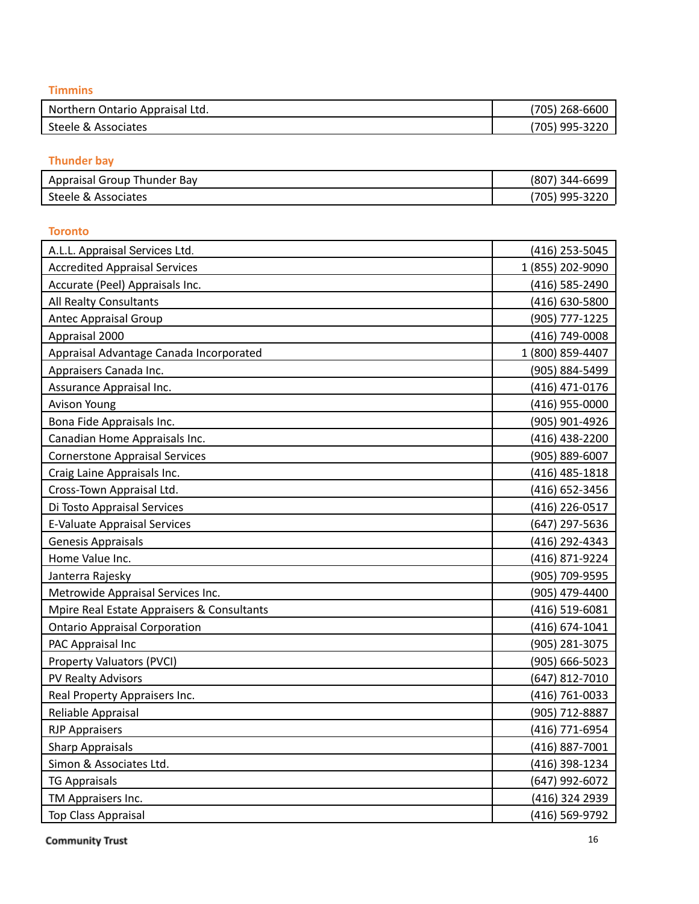**T i m m in s**

| Northern Ontario Appraisal Ltd. | 268-6600<br>(705)<br>ັ |
|---------------------------------|------------------------|
| Steele &                        | 995-3220               |
| . Associates                    | <b>001</b>             |

#### **hunder** bay

| Appraisal Group<br>Bav<br>Thunder | (807<br>d4-669°, د ا                                |
|-----------------------------------|-----------------------------------------------------|
| Steele &<br>Associates            | 995-3220<br>(705)<br><u>         v ,          v</u> |

#### **Toronto**

| A.L.L. Appraisal Services Ltd.             | (416) 253-5045   |
|--------------------------------------------|------------------|
| <b>Accredited Appraisal Services</b>       | 1 (855) 202-9090 |
| Accurate (Peel) Appraisals Inc.            | (416) 585-2490   |
| All Realty Consultants                     | (416) 630-5800   |
| <b>Antec Appraisal Group</b>               | (905) 777-1225   |
| Appraisal 2000                             | (416) 749-0008   |
| Appraisal Advantage Canada Incorporated    | 1 (800) 859-4407 |
| Appraisers Canada Inc.                     | (905) 884-5499   |
| Assurance Appraisal Inc.                   | (416) 471-0176   |
| <b>Avison Young</b>                        | (416) 955-0000   |
| Bona Fide Appraisals Inc.                  | (905) 901-4926   |
| Canadian Home Appraisals Inc.              | (416) 438-2200   |
| <b>Cornerstone Appraisal Services</b>      | (905) 889-6007   |
| Craig Laine Appraisals Inc.                | (416) 485-1818   |
| Cross-Town Appraisal Ltd.                  | (416) 652-3456   |
| Di Tosto Appraisal Services                | (416) 226-0517   |
| <b>E-Valuate Appraisal Services</b>        | (647) 297-5636   |
| Genesis Appraisals                         | (416) 292-4343   |
| Home Value Inc.                            | (416) 871-9224   |
| Janterra Rajesky                           | (905) 709-9595   |
| Metrowide Appraisal Services Inc.          | (905) 479-4400   |
| Mpire Real Estate Appraisers & Consultants | (416) 519-6081   |
| <b>Ontario Appraisal Corporation</b>       | (416) 674-1041   |
| PAC Appraisal Inc                          | (905) 281-3075   |
| <b>Property Valuators (PVCI)</b>           | (905) 666-5023   |
| PV Realty Advisors                         | (647) 812-7010   |
| Real Property Appraisers Inc.              | (416) 761-0033   |
| Reliable Appraisal                         | (905) 712-8887   |
| <b>RJP Appraisers</b>                      | (416) 771-6954   |
| <b>Sharp Appraisals</b>                    | (416) 887-7001   |
| Simon & Associates Ltd.                    | (416) 398-1234   |
| <b>TG Appraisals</b>                       | (647) 992-6072   |
| TM Appraisers Inc.                         | (416) 324 2939   |
| <b>Top Class Appraisal</b>                 | (416) 569-9792   |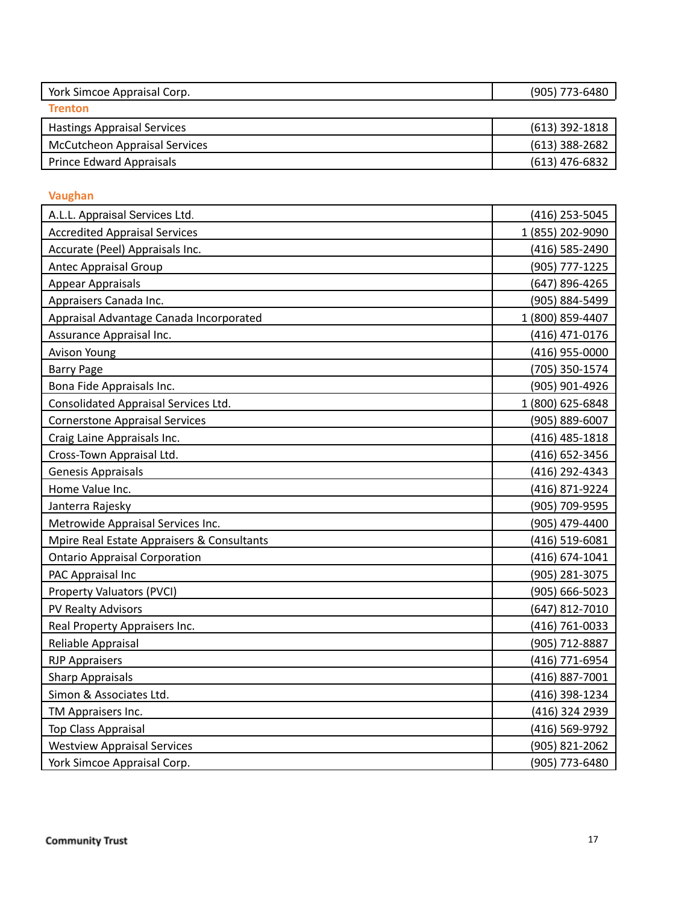| York Simcoe Appraisal Corp.          | (905) 773-6480   |
|--------------------------------------|------------------|
| <b>Trenton</b>                       |                  |
| <b>Hastings Appraisal Services</b>   | $(613)$ 392-1818 |
| <b>McCutcheon Appraisal Services</b> | $(613)$ 388-2682 |
| <b>Prince Edward Appraisals</b>      | $(613)$ 476-6832 |

#### **Vaughan**

| A.L.L. Appraisal Services Ltd.             | (416) 253-5045   |
|--------------------------------------------|------------------|
| <b>Accredited Appraisal Services</b>       | 1 (855) 202-9090 |
| Accurate (Peel) Appraisals Inc.            | (416) 585-2490   |
| <b>Antec Appraisal Group</b>               | (905) 777-1225   |
| <b>Appear Appraisals</b>                   | (647) 896-4265   |
| Appraisers Canada Inc.                     | (905) 884-5499   |
| Appraisal Advantage Canada Incorporated    | 1 (800) 859-4407 |
| Assurance Appraisal Inc.                   | (416) 471-0176   |
| <b>Avison Young</b>                        | (416) 955-0000   |
| <b>Barry Page</b>                          | (705) 350-1574   |
| Bona Fide Appraisals Inc.                  | (905) 901-4926   |
| Consolidated Appraisal Services Ltd.       | 1 (800) 625-6848 |
| <b>Cornerstone Appraisal Services</b>      | (905) 889-6007   |
| Craig Laine Appraisals Inc.                | (416) 485-1818   |
| Cross-Town Appraisal Ltd.                  | (416) 652-3456   |
| Genesis Appraisals                         | (416) 292-4343   |
| Home Value Inc.                            | (416) 871-9224   |
| Janterra Rajesky                           | (905) 709-9595   |
| Metrowide Appraisal Services Inc.          | (905) 479-4400   |
| Mpire Real Estate Appraisers & Consultants | (416) 519-6081   |
| <b>Ontario Appraisal Corporation</b>       | (416) 674-1041   |
| PAC Appraisal Inc                          | (905) 281-3075   |
| <b>Property Valuators (PVCI)</b>           | (905) 666-5023   |
| PV Realty Advisors                         | (647) 812-7010   |
| Real Property Appraisers Inc.              | (416) 761-0033   |
| Reliable Appraisal                         | (905) 712-8887   |
| <b>RJP Appraisers</b>                      | (416) 771-6954   |
| <b>Sharp Appraisals</b>                    | (416) 887-7001   |
| Simon & Associates Ltd.                    | (416) 398-1234   |
| TM Appraisers Inc.                         | (416) 324 2939   |
| <b>Top Class Appraisal</b>                 | (416) 569-9792   |
| <b>Westview Appraisal Services</b>         | (905) 821-2062   |
| York Simcoe Appraisal Corp.                | (905) 773-6480   |